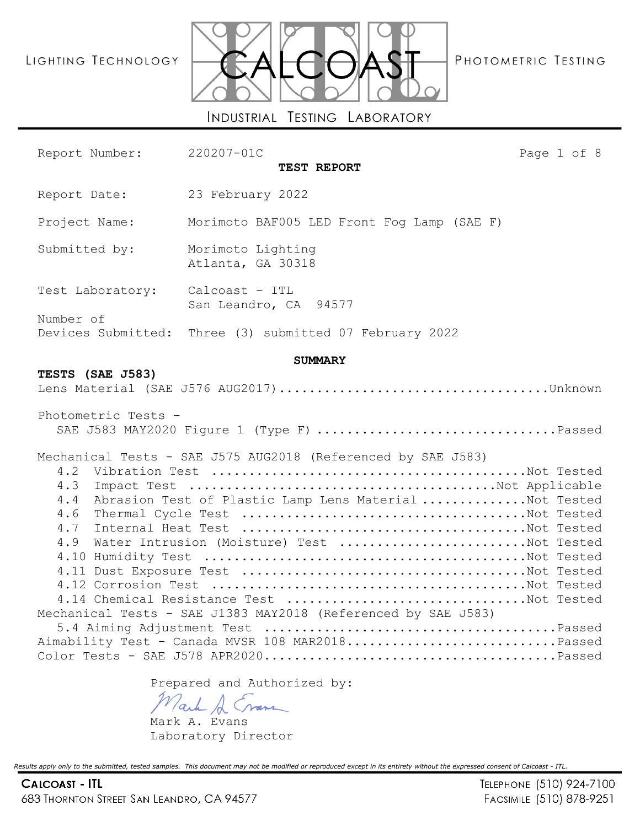# LIGHTING TECHNOLOGY



PHOTOMETRIC TESTING

Report Number: 220207-01C Page 1 of 8

**TEST REPORT** Report Date: 23 February 2022 Project Name: Morimoto BAF005 LED Front Fog Lamp (SAE F) Submitted by: Morimoto Lighting Atlanta, GA 30318 Test Laboratory: Calcoast – ITL San Leandro, CA 94577 Number of Devices Submitted: Three (3) submitted 07 February 2022 **SUMMARY TESTS (SAE J583)** Lens Material (SAE J576 AUG2017)....................................Unknown Photometric Tests – SAE J583 MAY2020 Figure 1 (Type F) ................................Passed Mechanical Tests - SAE J575 AUG2018 (Referenced by SAE J583) 4.2 Vibration Test ..........................................Not Tested 4.3 Impact Test .........................................Not Applicable 4.4 Abrasion Test of Plastic Lamp Lens Material ..............Not Tested 4.6 Thermal Cycle Test ......................................Not Tested 4.7 Internal Heat Test ......................................Not Tested 4.9 Water Intrusion (Moisture) Test .........................Not Tested 4.10 Humidity Test ...........................................Not Tested 4.11 Dust Exposure Test ......................................Not Tested 4.12 Corrosion Test ..........................................Not Tested 4.14 Chemical Resistance Test ................................Not Tested Mechanical Tests - SAE J1383 MAY2018 (Referenced by SAE J583) 5.4 Aiming Adjustment Test .......................................Passed Aimability Test - Canada MVSR 108 MAR2018...............................Passed Color Tests - SAE J578 APR2020.......................................Passed

Prepared and Authorized by:

ack A Cran

Mark A. Evans Laboratory Director

*Results apply only to the submitted, tested samples. This document may not be modified or reproduced except in its entirety without the expressed consent of Calcoast - ITL.*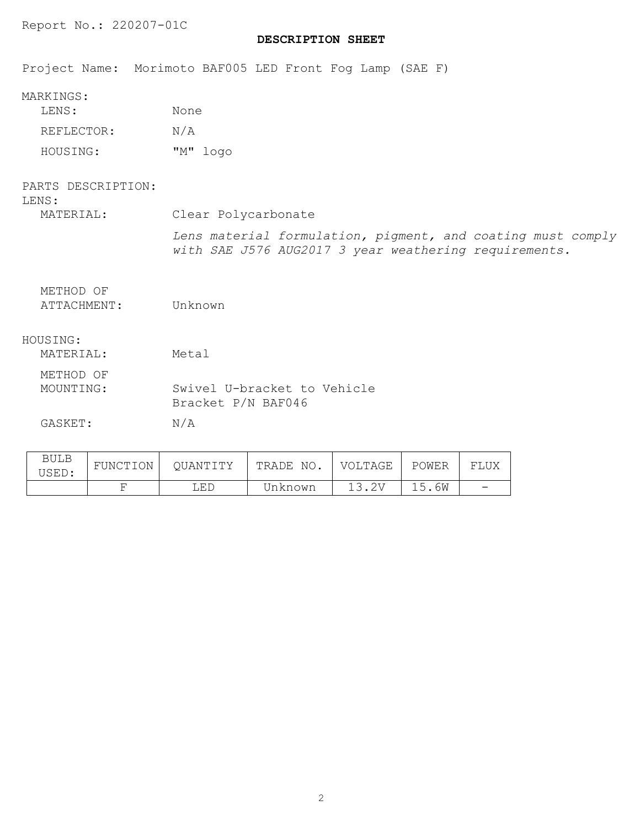# **DESCRIPTION SHEET**

Project Name: Morimoto BAF005 LED Front Fog Lamp (SAE F)

| LENS:      | None |          |
|------------|------|----------|
| REFLECTOR: | N/A  |          |
| HOUSING:   |      | "M" logo |

| PARTS DESCRIPTION:<br>LENS: |                                                                                                                      |
|-----------------------------|----------------------------------------------------------------------------------------------------------------------|
| MATERIAL:                   | Clear Polycarbonate                                                                                                  |
|                             | Lens material formulation, pigment, and coating must comply<br>with SAE J576 AUG2017 3 year weathering requirements. |
| METHOD OF<br>ATTACHMENT:    | Unknown                                                                                                              |
| HOUSING:<br>MATERIAL:       | Metal                                                                                                                |
| METHOD OF                   |                                                                                                                      |
| MOUNTING:                   | Swivel U-bracket to Vehicle<br>Bracket P/N BAF046                                                                    |
| GASKET:                     | N/A                                                                                                                  |
| DITT D                      |                                                                                                                      |

|       |          | LED      | Unknown      |         | 15.6W | $\overline{\phantom{0}}$ |
|-------|----------|----------|--------------|---------|-------|--------------------------|
| USED: | FUNCTION | OUANTITY | NO.<br>TRADE | VOLTAGE | POWER | FLUX                     |
| BULB  |          |          |              |         |       |                          |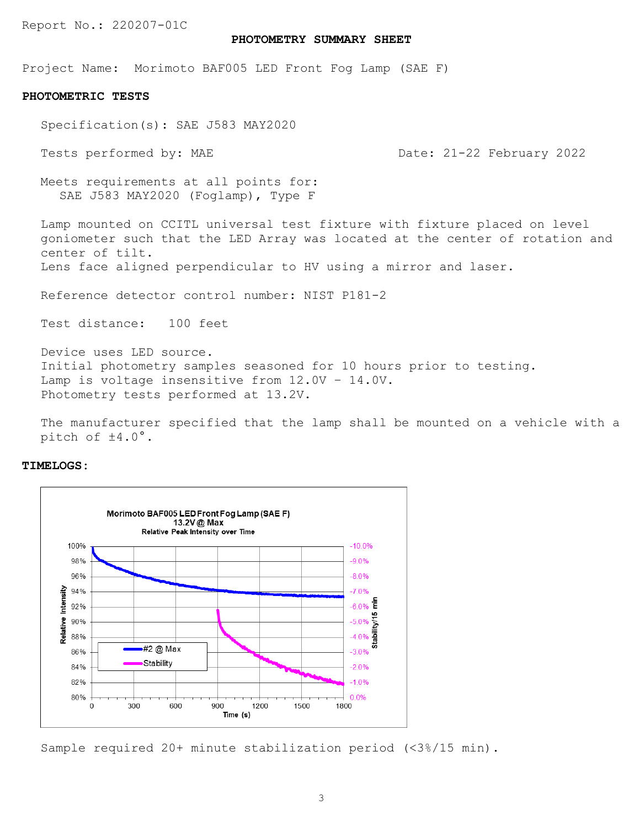## **PHOTOMETRY SUMMARY SHEET**

Project Name: Morimoto BAF005 LED Front Fog Lamp (SAE F)

### **PHOTOMETRIC TESTS**

Specification(s): SAE J583 MAY2020

Tests performed by: MAE Date: 21-22 February 2022

Meets requirements at all points for: SAE J583 MAY2020 (Foglamp), Type F

Lamp mounted on CCITL universal test fixture with fixture placed on level goniometer such that the LED Array was located at the center of rotation and center of tilt.

Lens face aligned perpendicular to HV using a mirror and laser.

Reference detector control number: NIST P181-2

Test distance: 100 feet

Device uses LED source. Initial photometry samples seasoned for 10 hours prior to testing. Lamp is voltage insensitive from 12.0V – 14.0V. Photometry tests performed at 13.2V.

The manufacturer specified that the lamp shall be mounted on a vehicle with a pitch of ±4.0°.

# **TIMELOGS:**



Sample required 20+ minute stabilization period (<3%/15 min).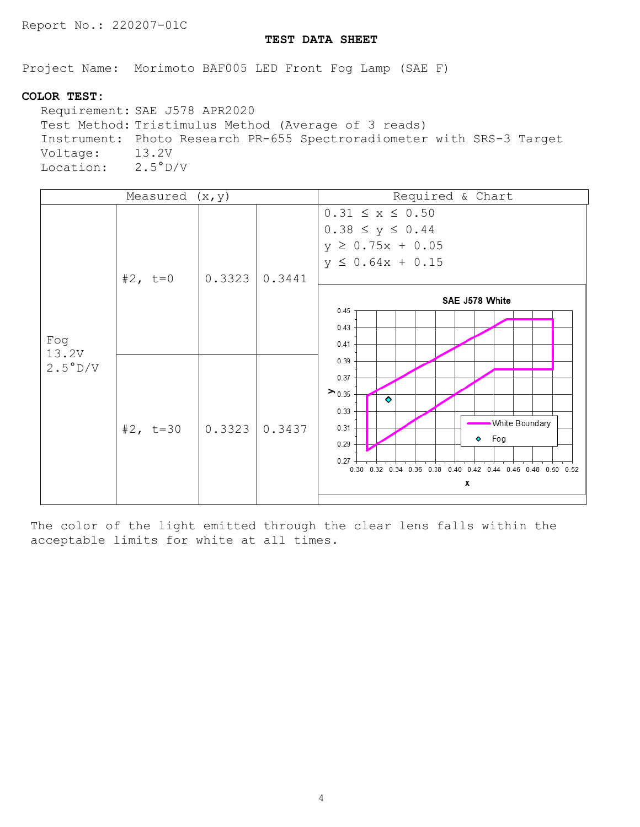# **TEST DATA SHEET**

Project Name: Morimoto BAF005 LED Front Fog Lamp (SAE F)

# **COLOR TEST:**

Requirement: SAE J578 APR2020 Test Method: Tristimulus Method (Average of 3 reads) Instrument: Photo Research PR-655 Spectroradiometer with SRS-3 Target Voltage: Location: 2.5°D/V

|                  | Measured $(x, y)$ |                                                                                   |                                                                                                                 | Required & Chart                                                                                                                         |
|------------------|-------------------|-----------------------------------------------------------------------------------|-----------------------------------------------------------------------------------------------------------------|------------------------------------------------------------------------------------------------------------------------------------------|
| Fog              | #2, $t=0$         | 0.3323                                                                            | 0.3441                                                                                                          | $0.31 \le x \le 0.50$<br>$0.38 \le y \le 0.44$<br>$y \ge 0.75x + 0.05$<br>$y \le 0.64x + 0.15$<br>SAE J578 White<br>0.45<br>0.43<br>0.41 |
| 13.2V<br>2.5°D/V | #2, $t=30$        | 0.39<br>0.37<br>$\geq 0.35$<br>0.33<br>0.31<br>  0.3323<br>0.3437<br>0.29<br>0.27 | ۰<br><b>White Boundary</b><br>$\bullet$ Fog<br>0.30 0.32 0.34 0.36 0.38 0.40 0.42 0.44 0.46 0.48 0.50 0.52<br>x |                                                                                                                                          |

The color of the light emitted through the clear lens falls within the acceptable limits for white at all times.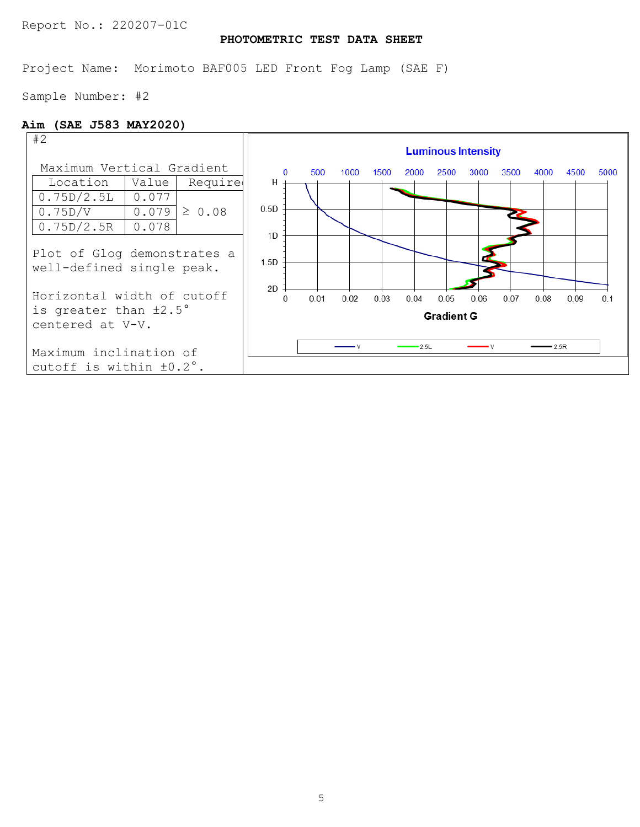# **PHOTOMETRIC TEST DATA SHEET**

Project Name: Morimoto BAF005 LED Front Fog Lamp (SAE F)

Sample Number: #2

# **Aim (SAE J583 MAY2020)**

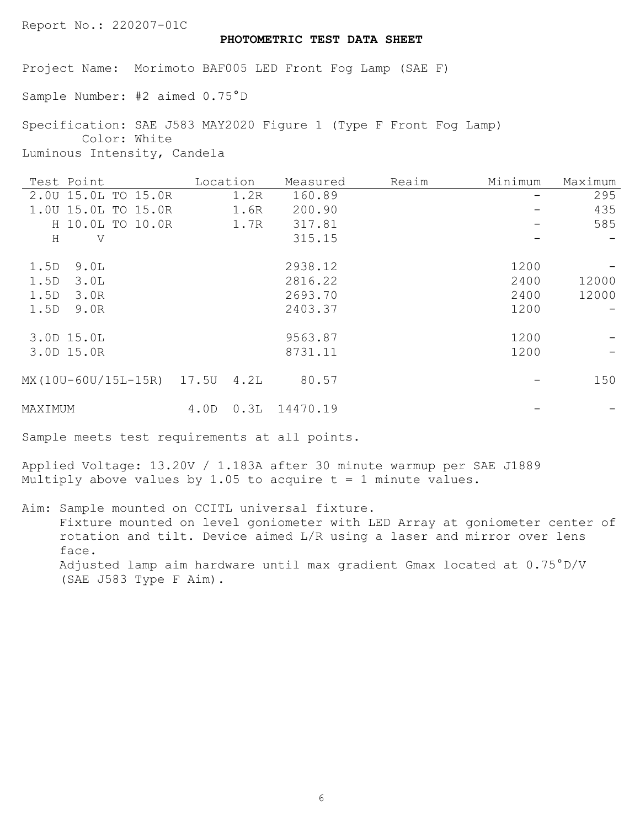# **PHOTOMETRIC TEST DATA SHEET**

Project Name: Morimoto BAF005 LED Front Fog Lamp (SAE F)

Sample Number: #2 aimed 0.75°D

Specification: SAE J583 MAY2020 Figure 1 (Type F Front Fog Lamp) Color: White Luminous Intensity, Candela

| Test Point                | Location |      | Measured | Reaim | Minimum | Maximum |
|---------------------------|----------|------|----------|-------|---------|---------|
| 2.00 15.0L TO 15.0R       |          | 1.2R | 160.89   |       |         | 295     |
| 1.00 15.0L TO 15.0R       |          | 1.6R | 200.90   |       |         | 435     |
| H 10.0L TO 10.0R          |          | 1.7R | 317.81   |       |         | 585     |
| $\rm H$<br>V              |          |      | 315.15   |       |         |         |
| 1.5D<br>9.0L              |          |      | 2938.12  |       | 1200    |         |
| 1.5D<br>3.0L              |          |      | 2816.22  |       | 2400    | 12000   |
| 1.5D<br>3.0R              |          |      | 2693.70  |       | 2400    | 12000   |
| 1.5D<br>9.0R              |          |      | 2403.37  |       | 1200    |         |
| 3.0D 15.0L                |          |      | 9563.87  |       | 1200    |         |
| 3.0D 15.0R                |          |      | 8731.11  |       | 1200    |         |
| MX(10U-60U/15L-15R) 17.5U |          | 4.2L | 80.57    |       |         | 150     |
| MAXIMUM                   | 4.0D     | 0.3L | 14470.19 |       |         |         |

Sample meets test requirements at all points.

Applied Voltage: 13.20V / 1.183A after 30 minute warmup per SAE J1889 Multiply above values by 1.05 to acquire  $t = 1$  minute values.

Aim: Sample mounted on CCITL universal fixture. Fixture mounted on level goniometer with LED Array at goniometer center of rotation and tilt. Device aimed L/R using a laser and mirror over lens face. Adjusted lamp aim hardware until max gradient Gmax located at 0.75°D/V (SAE J583 Type F Aim).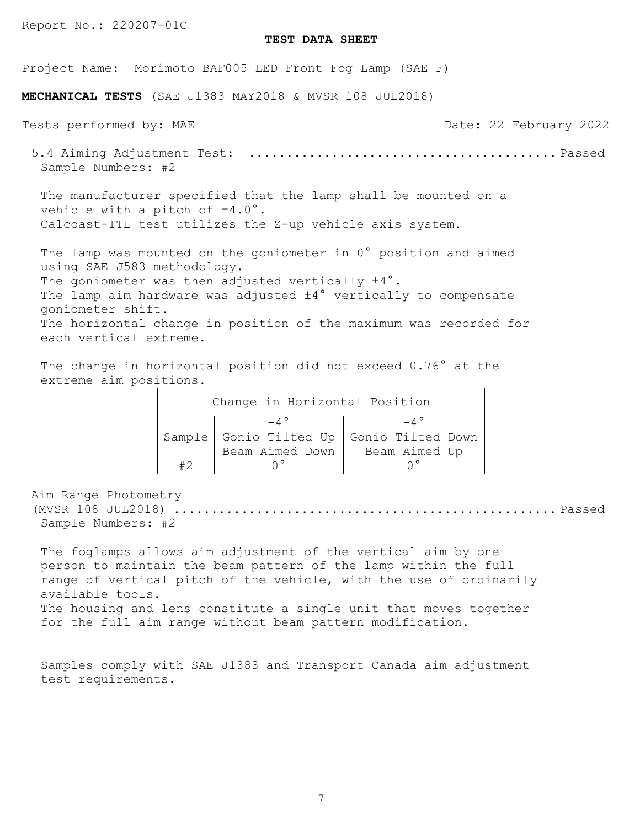### **TEST DATA SHEET**

Project Name: Morimoto BAF005 LED Front Fog Lamp (SAE F)

**MECHANICAL TESTS** (SAE J1383 MAY2018 & MVSR 108 JUL2018)

Tests performed by: MAE Tests performed by: MAE Date: 22 February 2022 5.4 Aiming Adjustment Test: ......................................... Passed Sample Numbers: #2 The manufacturer specified that the lamp shall be mounted on a vehicle with a pitch of  $\pm 4.0^{\circ}$ . Calcoast-ITL test utilizes the Z-up vehicle axis system. The lamp was mounted on the goniometer in 0° position and aimed using SAE J583 methodology. The goniometer was then adjusted vertically  $\pm 4^{\circ}$ . The lamp aim hardware was adjusted  $\pm 4^{\circ}$  vertically to compensate

goniometer shift. The horizontal change in position of the maximum was recorded for each vertical extreme.

The change in horizontal position did not exceed 0.76° at the extreme aim positions.

| Change in Horizontal Position |                     |                                          |  |  |  |
|-------------------------------|---------------------|------------------------------------------|--|--|--|
|                               | $+ \Lambda^{\circ}$ |                                          |  |  |  |
|                               |                     | Sample Gonio Tilted Up Gonio Tilted Down |  |  |  |
|                               | Beam Aimed Down     | Beam Aimed Up                            |  |  |  |
|                               | $\wedge$ °          |                                          |  |  |  |

Aim Range Photometry

(MVSR 108 JUL2018) ................................................... Passed Sample Numbers: #2

The foglamps allows aim adjustment of the vertical aim by one person to maintain the beam pattern of the lamp within the full range of vertical pitch of the vehicle, with the use of ordinarily available tools. The housing and lens constitute a single unit that moves together

for the full aim range without beam pattern modification.

Samples comply with SAE J1383 and Transport Canada aim adjustment test requirements.